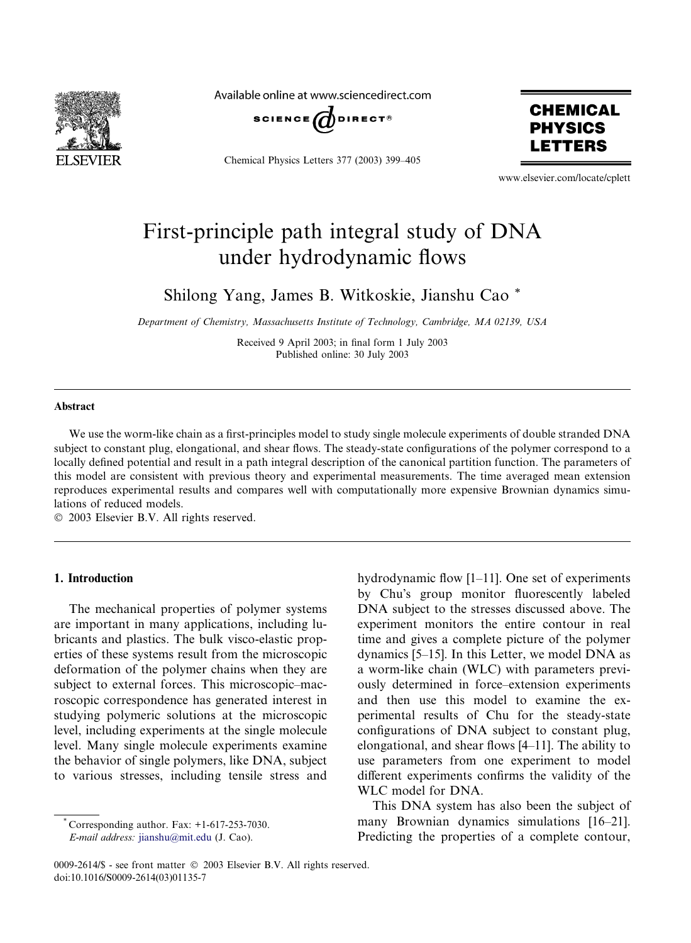

Available online at www.sciencedirect.com



Chemical Physics Letters 377 (2003) 399–405



www.elsevier.com/locate/cplett

# First-principle path integral study of DNA under hydrodynamic flows

Shilong Yang, James B. Witkoskie, Jianshu Cao \*

Department of Chemistry, Massachusetts Institute of Technology, Cambridge, MA 02139, USA

Received 9 April 2003; in final form 1 July 2003 Published online: 30 July 2003

#### Abstract

We use the worm-like chain as a first-principles model to study single molecule experiments of double stranded DNA subject to constant plug, elongational, and shear flows. The steady-state configurations of the polymer correspond to a locally defined potential and result in a path integral description of the canonical partition function. The parameters of this model are consistent with previous theory and experimental measurements. The time averaged mean extension reproduces experimental results and compares well with computationally more expensive Brownian dynamics simulations of reduced models.

2003 Elsevier B.V. All rights reserved.

#### 1. Introduction

The mechanical properties of polymer systems are important in many applications, including lubricants and plastics. The bulk visco-elastic properties of these systems result from the microscopic deformation of the polymer chains when they are subject to external forces. This microscopic–macroscopic correspondence has generated interest in studying polymeric solutions at the microscopic level, including experiments at the single molecule level. Many single molecule experiments examine the behavior of single polymers, like DNA, subject to various stresses, including tensile stress and

Corresponding author. Fax:  $+1-617-253-7030$ .

E-mail address: [jianshu@mit.edu](mail to: jianshu@mit.edu) (J. Cao).

hydrodynamic flow [1–11]. One set of experiments by Chu's group monitor fluorescently labeled DNA subject to the stresses discussed above. The experiment monitors the entire contour in real time and gives a complete picture of the polymer dynamics [5–15]. In this Letter, we model DNA as a worm-like chain (WLC) with parameters previously determined in force–extension experiments and then use this model to examine the experimental results of Chu for the steady-state configurations of DNA subject to constant plug, elongational, and shear flows [4–11]. The ability to use parameters from one experiment to model different experiments confirms the validity of the WLC model for DNA.

This DNA system has also been the subject of many Brownian dynamics simulations [16–21]. Predicting the properties of a complete contour,

0009-2614/\$ - see front matter  $\degree$  2003 Elsevier B.V. All rights reserved. doi:10.1016/S0009-2614(03)01135-7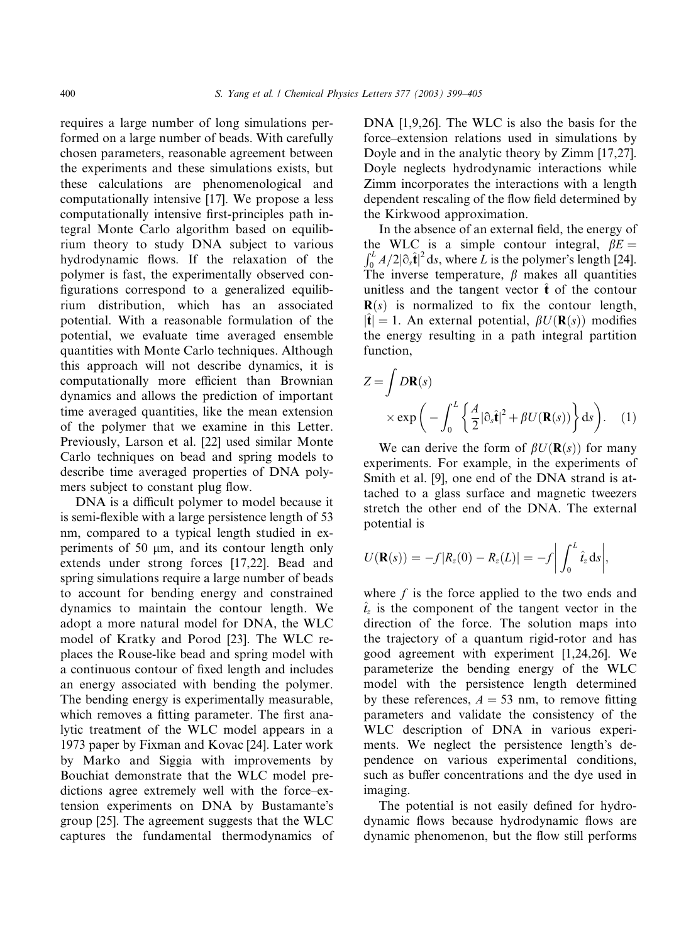requires a large number of long simulations performed on a large number of beads. With carefully chosen parameters, reasonable agreement between the experiments and these simulations exists, but these calculations are phenomenological and computationally intensive [17]. We propose a less computationally intensive first-principles path integral Monte Carlo algorithm based on equilibrium theory to study DNA subject to various hydrodynamic flows. If the relaxation of the polymer is fast, the experimentally observed configurations correspond to a generalized equilibrium distribution, which has an associated potential. With a reasonable formulation of the potential, we evaluate time averaged ensemble quantities with Monte Carlo techniques. Although this approach will not describe dynamics, it is computationally more efficient than Brownian dynamics and allows the prediction of important time averaged quantities, like the mean extension of the polymer that we examine in this Letter. Previously, Larson et al. [22] used similar Monte Carlo techniques on bead and spring models to describe time averaged properties of DNA polymers subject to constant plug flow.

DNA is a difficult polymer to model because it is semi-flexible with a large persistence length of 53 nm, compared to a typical length studied in experiments of 50  $\mu$ m, and its contour length only extends under strong forces [17,22]. Bead and spring simulations require a large number of beads to account for bending energy and constrained dynamics to maintain the contour length. We adopt a more natural model for DNA, the WLC model of Kratky and Porod [23]. The WLC replaces the Rouse-like bead and spring model with a continuous contour of fixed length and includes an energy associated with bending the polymer. The bending energy is experimentally measurable, which removes a fitting parameter. The first analytic treatment of the WLC model appears in a 1973 paper by Fixman and Kovac [24]. Later work by Marko and Siggia with improvements by Bouchiat demonstrate that the WLC model predictions agree extremely well with the force–extension experiments on DNA by Bustamante's group [25]. The agreement suggests that the WLC captures the fundamental thermodynamics of DNA [1,9,26]. The WLC is also the basis for the force–extension relations used in simulations by Doyle and in the analytic theory by Zimm [17,27]. Doyle neglects hydrodynamic interactions while Zimm incorporates the interactions with a length dependent rescaling of the flow field determined by the Kirkwood approximation.

In the absence of an external field, the energy of the WLC is a simple contour integral,  $\beta E =$  $\int_0^L A/2 |\partial_s \hat{\mathbf{t}}|^2 ds$ , where L is the polymer's length [24]. The inverse temperature,  $\beta$  makes all quantities unitless and the tangent vector  $\hat{\mathbf{t}}$  of the contour  **is normalized to fix the contour length,**  $|\hat{\mathbf{t}}| = 1$ . An external potential,  $\beta U(\mathbf{R}(s))$  modifies the energy resulting in a path integral partition function,

$$
Z = \int D\mathbf{R}(s)
$$
  
 
$$
\times \exp\left(-\int_0^L \left\{\frac{A}{2}|\partial_s \hat{\mathbf{t}}|^2 + \beta U(\mathbf{R}(s))\right\} ds\right).
$$
 (1)

We can derive the form of  $\beta U(\mathbf{R}(s))$  for many experiments. For example, in the experiments of Smith et al. [9], one end of the DNA strand is attached to a glass surface and magnetic tweezers stretch the other end of the DNA. The external potential is

$$
U(\mathbf{R}(s)) = -f|R_z(0) - R_z(L)| = -f \bigg| \int_0^L \hat{t}_z ds \bigg|,
$$

where  $f$  is the force applied to the two ends and  $\hat{t}_z$  is the component of the tangent vector in the direction of the force. The solution maps into the trajectory of a quantum rigid-rotor and has good agreement with experiment [1,24,26]. We parameterize the bending energy of the WLC model with the persistence length determined by these references,  $A = 53$  nm, to remove fitting parameters and validate the consistency of the WLC description of DNA in various experiments. We neglect the persistence length's dependence on various experimental conditions, such as buffer concentrations and the dye used in imaging.

The potential is not easily defined for hydrodynamic flows because hydrodynamic flows are dynamic phenomenon, but the flow still performs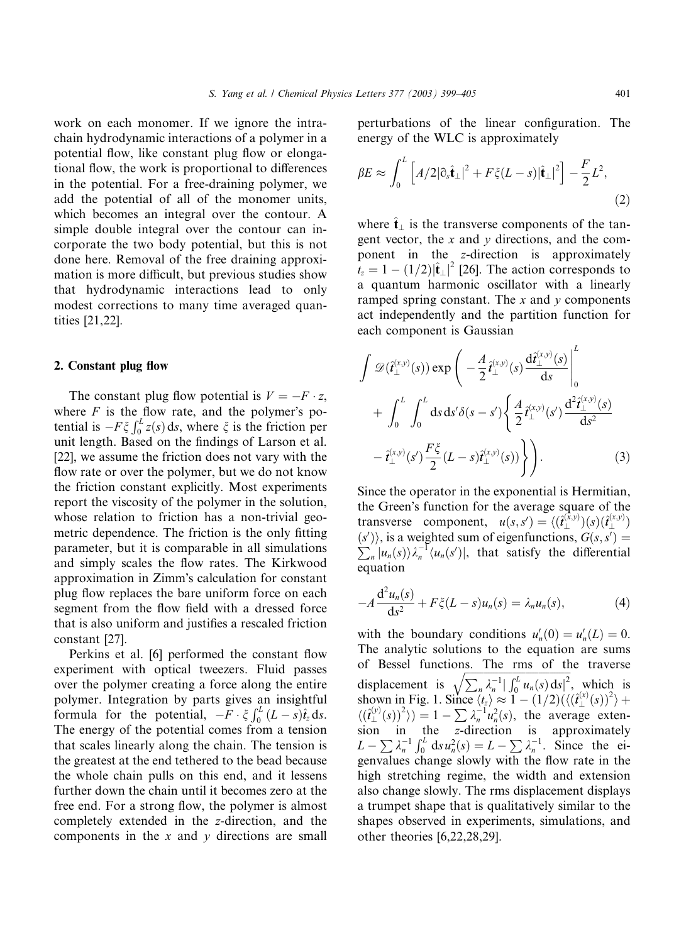work on each monomer. If we ignore the intrachain hydrodynamic interactions of a polymer in a potential flow, like constant plug flow or elongational flow, the work is proportional to differences in the potential. For a free-draining polymer, we add the potential of all of the monomer units, which becomes an integral over the contour. A simple double integral over the contour can incorporate the two body potential, but this is not done here. Removal of the free draining approximation is more difficult, but previous studies show that hydrodynamic interactions lead to only modest corrections to many time averaged quantities [21,22].

# 2. Constant plug flow

The constant plug flow potential is  $V = -F \cdot z$ , where  $F$  is the flow rate, and the polymer's potential is  $-F\xi \int_0^L z(s) ds$ , where  $\xi$  is the friction per unit length. Based on the findings of Larson et al. [22], we assume the friction does not vary with the flow rate or over the polymer, but we do not know the friction constant explicitly. Most experiments report the viscosity of the polymer in the solution, whose relation to friction has a non-trivial geometric dependence. The friction is the only fitting parameter, but it is comparable in all simulations and simply scales the flow rates. The Kirkwood approximation in Zimm's calculation for constant plug flow replaces the bare uniform force on each segment from the flow field with a dressed force that is also uniform and justifies a rescaled friction constant [27].

Perkins et al. [6] performed the constant flow experiment with optical tweezers. Fluid passes over the polymer creating a force along the entire polymer. Integration by parts gives an insightful formula for the potential,  $-F \cdot \xi \int_0^L (L-s)\hat{t}_z ds$ . The energy of the potential comes from a tension that scales linearly along the chain. The tension is the greatest at the end tethered to the bead because the whole chain pulls on this end, and it lessens further down the chain until it becomes zero at the free end. For a strong flow, the polymer is almost completely extended in the z-direction, and the components in the  $x$  and  $y$  directions are small

perturbations of the linear configuration. The energy of the WLC is approximately

$$
\beta E \approx \int_0^L \left[ A/2 |\partial_s \hat{\mathbf{t}}_{\perp}|^2 + F \xi (L - s) |\hat{\mathbf{t}}_{\perp}|^2 \right] - \frac{F}{2} L^2,
$$
\n(2)

where  $\hat{\mathbf{t}}_1$  is the transverse components of the tangent vector, the  $x$  and  $y$  directions, and the component in the z-direction is approximately  $\hat{t}_z = 1 - (1/2)|\hat{\mathbf{t}}_{\perp}|^2$  [26]. The action corresponds to a quantum harmonic oscillator with a linearly ramped spring constant. The  $x$  and  $y$  components act independently and the partition function for each component is Gaussian

$$
\int \mathscr{D}(\hat{t}_{\perp}^{(x,y)}(s)) \exp\left(-\frac{A}{2} \hat{t}_{\perp}^{(x,y)}(s) \frac{d \hat{t}_{\perp}^{(x,y)}(s)}{ds}\right)_{0}^{L} + \int_{0}^{L} \int_{0}^{L} ds \, ds' \delta(s-s') \left\{\frac{A}{2} \hat{t}_{\perp}^{(x,y)}(s') \frac{d^{2} \hat{t}_{\perp}^{(x,y)}(s)}{ds^{2}} - \hat{t}_{\perp}^{(x,y)}(s') \frac{F\xi}{2} (L-s) \hat{t}_{\perp}^{(x,y)}(s))\right\}.
$$
\n(3)

Since the operator in the exponential is Hermitian, the Green's function for the average square of the transverse component,  $u(s, s') = \langle (\hat{\mathbf{t}}_{\perp}^{(\bar{x}, y)})(s) (\hat{\mathbf{t}}_{\perp}^{(x, y)})$  $(s')$ , is a weighted sum of eigenfunctions,  $G(s, s') =$  $\sum_{n} |u_n(s)\rangle \lambda_n^{-1} \langle u_n(s')|$ , that satisfy the differential equation

$$
-A\frac{\mathrm{d}^2 u_n(s)}{\mathrm{d}s^2} + F\xi(L-s)u_n(s) = \lambda_n u_n(s),\tag{4}
$$

with the boundary conditions  $u'_n(0) = u'_n(L) = 0$ . The analytic solutions to the equation are sums of Bessel functions. The rms of the traverse displacement is  $\sqrt{\sum_n \lambda_n^{-1} |\int_0^L u_n(s) ds|^2}$ , which is shown in Fig. 1. Since  $\langle t_z \rangle \approx 1 - (1/2) (\langle (\hat{t}_{\perp}^{(x)}(s))^2 \rangle +$  $\langle (\hat{t}_\perp^{(y)}(s))^2 \rangle$  = 1 -  $\sum \lambda_n^{-1} u_n^2(s)$ , the average extension in the z-direction is approximately  $L - \sum \lambda_n^{-1} \int_0^L ds u_n^2(s) = L - \sum \lambda_n^{-1}$ . Since the eigenvalues change slowly with the flow rate in the high stretching regime, the width and extension also change slowly. The rms displacement displays a trumpet shape that is qualitatively similar to the shapes observed in experiments, simulations, and other theories [6,22,28,29].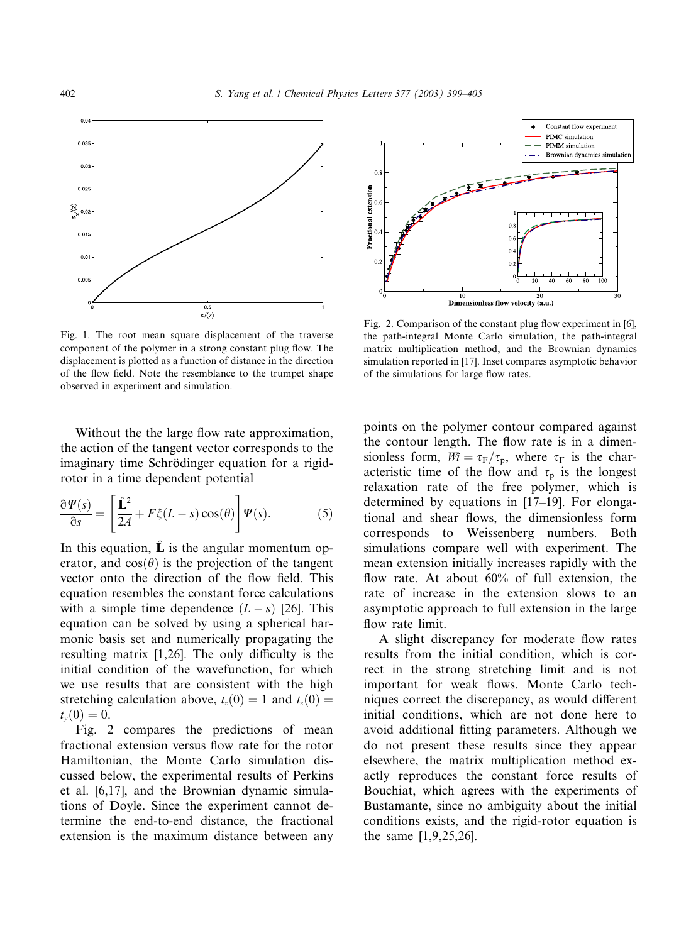

Fig. 1. The root mean square displacement of the traverse component of the polymer in a strong constant plug flow. The displacement is plotted as a function of distance in the direction of the flow field. Note the resemblance to the trumpet shape observed in experiment and simulation.

Without the the large flow rate approximation, the action of the tangent vector corresponds to the imaginary time Schrödinger equation for a rigidrotor in a time dependent potential

$$
\frac{\partial \Psi(s)}{\partial s} = \left[ \frac{\hat{\mathbf{L}}^2}{2A} + F\zeta(L-s)\cos(\theta) \right] \Psi(s).
$$
 (5)

In this equation,  $\hat{\mathbf{L}}$  is the angular momentum operator, and  $cos(\theta)$  is the projection of the tangent vector onto the direction of the flow field. This equation resembles the constant force calculations with a simple time dependence  $(L - s)$  [26]. This equation can be solved by using a spherical harmonic basis set and numerically propagating the resulting matrix [1,26]. The only difficulty is the initial condition of the wavefunction, for which we use results that are consistent with the high stretching calculation above,  $t_z(0) = 1$  and  $t_z(0) =$  $t_v(0) = 0.$ 

Fig. 2 compares the predictions of mean fractional extension versus flow rate for the rotor Hamiltonian, the Monte Carlo simulation discussed below, the experimental results of Perkins et al. [6,17], and the Brownian dynamic simulations of Doyle. Since the experiment cannot determine the end-to-end distance, the fractional extension is the maximum distance between any



Fig. 2. Comparison of the constant plug flow experiment in [6], the path-integral Monte Carlo simulation, the path-integral matrix multiplication method, and the Brownian dynamics simulation reported in [17]. Inset compares asymptotic behavior of the simulations for large flow rates.

points on the polymer contour compared against the contour length. The flow rate is in a dimensionless form,  $Wi = \tau_F/\tau_p$ , where  $\tau_F$  is the characteristic time of the flow and  $\tau_p$  is the longest relaxation rate of the free polymer, which is determined by equations in [17–19]. For elongational and shear flows, the dimensionless form corresponds to Weissenberg numbers. Both simulations compare well with experiment. The mean extension initially increases rapidly with the flow rate. At about 60% of full extension, the rate of increase in the extension slows to an asymptotic approach to full extension in the large flow rate limit.

A slight discrepancy for moderate flow rates results from the initial condition, which is correct in the strong stretching limit and is not important for weak flows. Monte Carlo techniques correct the discrepancy, as would different initial conditions, which are not done here to avoid additional fitting parameters. Although we do not present these results since they appear elsewhere, the matrix multiplication method exactly reproduces the constant force results of Bouchiat, which agrees with the experiments of Bustamante, since no ambiguity about the initial conditions exists, and the rigid-rotor equation is the same [1,9,25,26].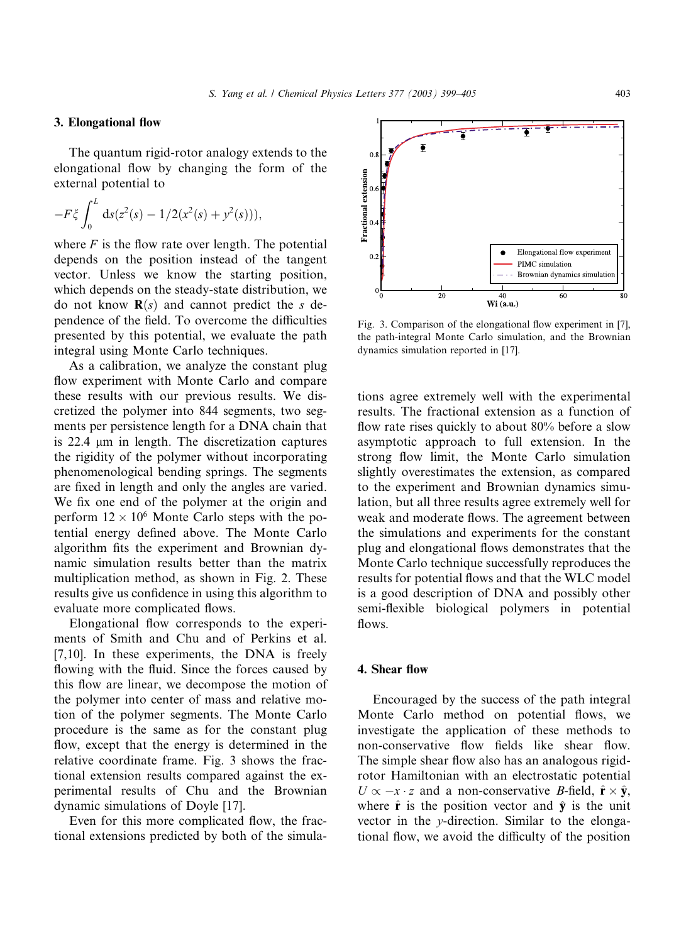# 3. Elongational flow

The quantum rigid-rotor analogy extends to the elongational flow by changing the form of the external potential to

$$
-F\xi \int_0^L ds(z^2(s) - 1/2(x^2(s) + y^2(s))),
$$

where  $F$  is the flow rate over length. The potential depends on the position instead of the tangent vector. Unless we know the starting position, which depends on the steady-state distribution, we do not know  $\mathbf{R}(s)$  and cannot predict the s dependence of the field. To overcome the difficulties presented by this potential, we evaluate the path integral using Monte Carlo techniques.

As a calibration, we analyze the constant plug flow experiment with Monte Carlo and compare these results with our previous results. We discretized the polymer into 844 segments, two segments per persistence length for a DNA chain that is  $22.4 \mu m$  in length. The discretization captures the rigidity of the polymer without incorporating phenomenological bending springs. The segments are fixed in length and only the angles are varied. We fix one end of the polymer at the origin and perform  $12 \times 10^6$  Monte Carlo steps with the potential energy defined above. The Monte Carlo algorithm fits the experiment and Brownian dynamic simulation results better than the matrix multiplication method, as shown in Fig. 2. These results give us confidence in using this algorithm to evaluate more complicated flows.

Elongational flow corresponds to the experiments of Smith and Chu and of Perkins et al. [7,10]. In these experiments, the DNA is freely flowing with the fluid. Since the forces caused by this flow are linear, we decompose the motion of the polymer into center of mass and relative motion of the polymer segments. The Monte Carlo procedure is the same as for the constant plug flow, except that the energy is determined in the relative coordinate frame. Fig. 3 shows the fractional extension results compared against the experimental results of Chu and the Brownian dynamic simulations of Doyle [17].

Even for this more complicated flow, the fractional extensions predicted by both of the simula-



Fig. 3. Comparison of the elongational flow experiment in [7], the path-integral Monte Carlo simulation, and the Brownian dynamics simulation reported in [17].

tions agree extremely well with the experimental results. The fractional extension as a function of flow rate rises quickly to about 80% before a slow asymptotic approach to full extension. In the strong flow limit, the Monte Carlo simulation slightly overestimates the extension, as compared to the experiment and Brownian dynamics simulation, but all three results agree extremely well for weak and moderate flows. The agreement between the simulations and experiments for the constant plug and elongational flows demonstrates that the Monte Carlo technique successfully reproduces the results for potential flows and that the WLC model is a good description of DNA and possibly other semi-flexible biological polymers in potential flows.

### 4. Shear flow

Encouraged by the success of the path integral Monte Carlo method on potential flows, we investigate the application of these methods to non-conservative flow fields like shear flow. The simple shear flow also has an analogous rigidrotor Hamiltonian with an electrostatic potential  $U \propto -x \cdot z$  and a non-conservative *B*-field,  $\hat{\mathbf{r}} \times \hat{\mathbf{y}}$ , where  $\hat{\mathbf{r}}$  is the position vector and  $\hat{\mathbf{y}}$  is the unit vector in the y-direction. Similar to the elongational flow, we avoid the difficulty of the position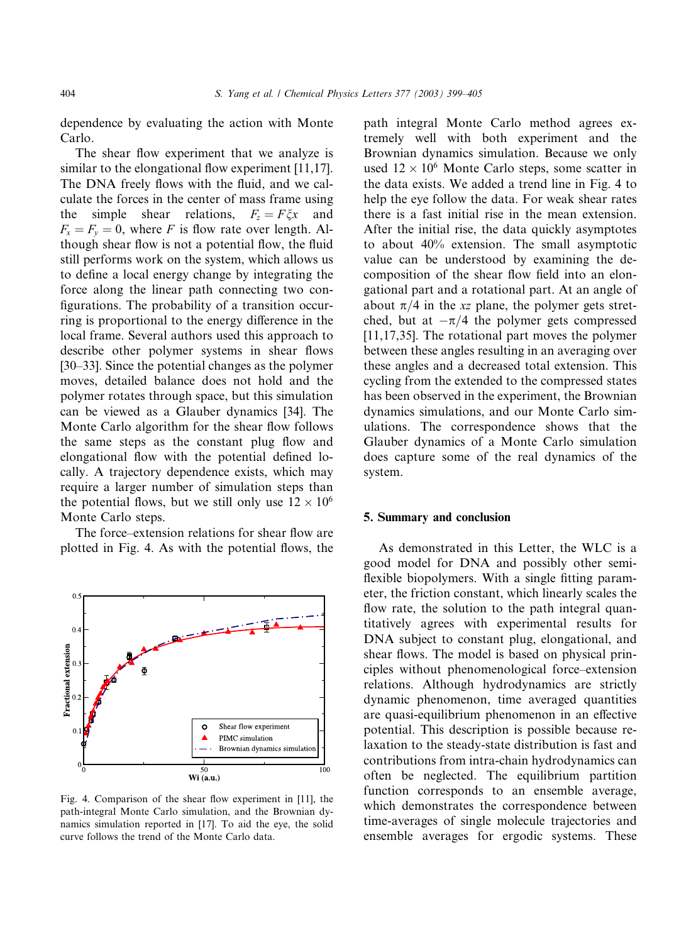dependence by evaluating the action with Monte Carlo.

The shear flow experiment that we analyze is similar to the elongational flow experiment [11,17]. The DNA freely flows with the fluid, and we calculate the forces in the center of mass frame using the simple shear relations,  $F_z = F \xi x$  and  $F_x = F_y = 0$ , where F is flow rate over length. Although shear flow is not a potential flow, the fluid still performs work on the system, which allows us to define a local energy change by integrating the force along the linear path connecting two configurations. The probability of a transition occurring is proportional to the energy difference in the local frame. Several authors used this approach to describe other polymer systems in shear flows [30–33]. Since the potential changes as the polymer moves, detailed balance does not hold and the polymer rotates through space, but this simulation can be viewed as a Glauber dynamics [34]. The Monte Carlo algorithm for the shear flow follows the same steps as the constant plug flow and elongational flow with the potential defined locally. A trajectory dependence exists, which may require a larger number of simulation steps than the potential flows, but we still only use  $12 \times 10^6$ Monte Carlo steps.

The force–extension relations for shear flow are plotted in Fig. 4. As with the potential flows, the



Fig. 4. Comparison of the shear flow experiment in [11], the path-integral Monte Carlo simulation, and the Brownian dynamics simulation reported in [17]. To aid the eye, the solid curve follows the trend of the Monte Carlo data.

path integral Monte Carlo method agrees extremely well with both experiment and the Brownian dynamics simulation. Because we only used  $12 \times 10^6$  Monte Carlo steps, some scatter in the data exists. We added a trend line in Fig. 4 to help the eye follow the data. For weak shear rates there is a fast initial rise in the mean extension. After the initial rise, the data quickly asymptotes to about 40% extension. The small asymptotic value can be understood by examining the decomposition of the shear flow field into an elongational part and a rotational part. At an angle of about  $\pi/4$  in the xz plane, the polymer gets stretched, but at  $-\pi/4$  the polymer gets compressed [11,17,35]. The rotational part moves the polymer between these angles resulting in an averaging over these angles and a decreased total extension. This cycling from the extended to the compressed states has been observed in the experiment, the Brownian dynamics simulations, and our Monte Carlo simulations. The correspondence shows that the Glauber dynamics of a Monte Carlo simulation does capture some of the real dynamics of the system.

# 5. Summary and conclusion

As demonstrated in this Letter, the WLC is a good model for DNA and possibly other semiflexible biopolymers. With a single fitting parameter, the friction constant, which linearly scales the flow rate, the solution to the path integral quantitatively agrees with experimental results for DNA subject to constant plug, elongational, and shear flows. The model is based on physical principles without phenomenological force–extension relations. Although hydrodynamics are strictly dynamic phenomenon, time averaged quantities are quasi-equilibrium phenomenon in an effective potential. This description is possible because relaxation to the steady-state distribution is fast and contributions from intra-chain hydrodynamics can often be neglected. The equilibrium partition function corresponds to an ensemble average, which demonstrates the correspondence between time-averages of single molecule trajectories and ensemble averages for ergodic systems. These